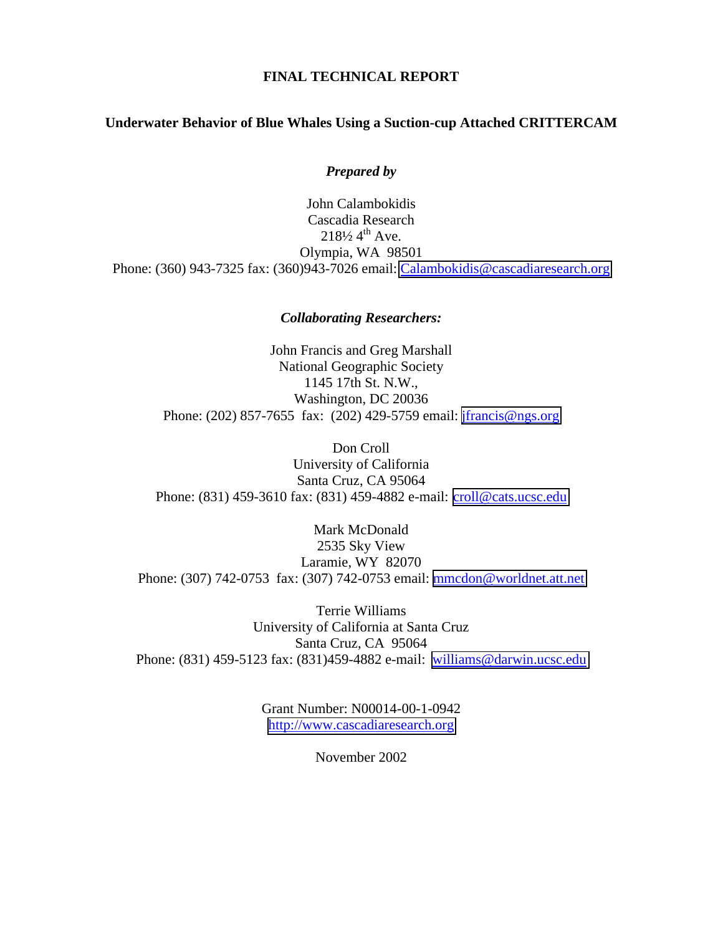# **FINAL TECHNICAL REPORT**

## **Underwater Behavior of Blue Whales Using a Suction-cup Attached CRITTERCAM**

*Prepared by* 

John Calambokidis Cascadia Research  $218\frac{1}{2}$  4<sup>th</sup> Ave. Olympia, WA 98501 Phone: (360) 943-7325 fax: (360)943-7026 email: [Calambokidis@cascadiaresearch.org](mailto:Calambokidis@cascadiaresearch.org)

### *Collaborating Researchers:*

John Francis and Greg Marshall National Geographic Society 1145 17th St. N.W., Washington, DC 20036 Phone: (202) 857-7655 fax: (202) 429-5759 email: [jfrancis@ngs.org](mailto:jfrancis@ngs.org)

Don Croll University of California Santa Cruz, CA 95064 Phone: (831) 459-3610 fax: (831) 459-4882 e-mail: [croll@cats.ucsc.edu](mailto:croll@cats.ucsc.edu)

Mark McDonald 2535 Sky View Laramie, WY 82070 Phone: (307) 742-0753 fax: (307) 742-0753 email: [mmcdon@worldnet.att.net](mailto:mmcdon@worldnet.att.net)

Terrie Williams University of California at Santa Cruz Santa Cruz, CA 95064 Phone: (831) 459-5123 fax: (831)459-4882 e-mail: [williams@darwin.ucsc.edu](mailto:williams@darwin.ucsc.edu)

> Grant Number: N00014-00-1-0942 [http://www.cascadiaresearch.org](http://www.cascadiaresearch.org/)

> > November 2002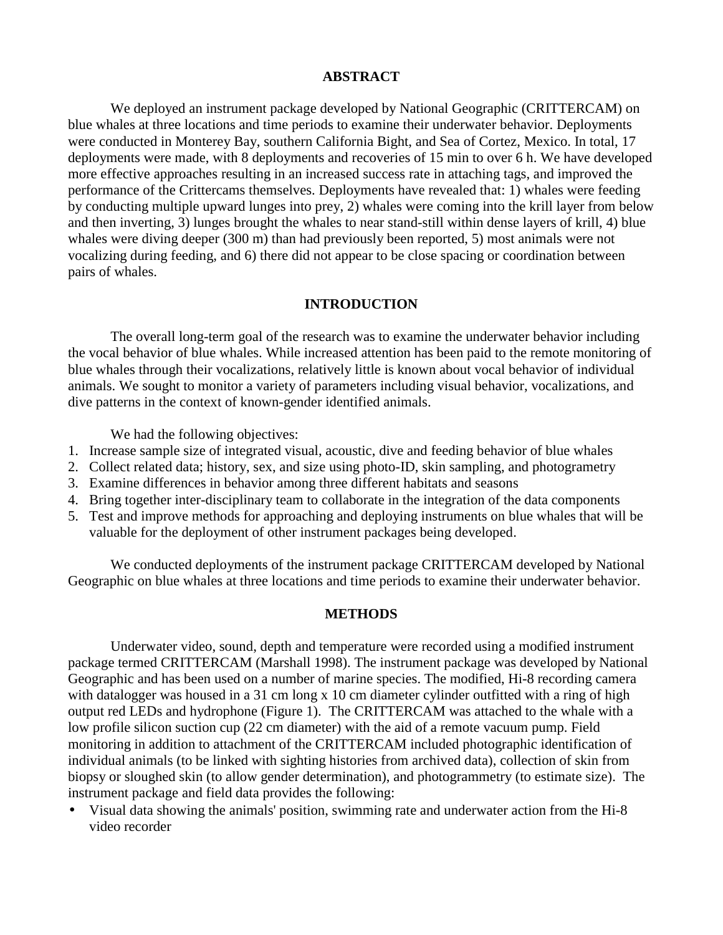# **ABSTRACT**

We deployed an instrument package developed by National Geographic (CRITTERCAM) on blue whales at three locations and time periods to examine their underwater behavior. Deployments were conducted in Monterey Bay, southern California Bight, and Sea of Cortez, Mexico. In total, 17 deployments were made, with 8 deployments and recoveries of 15 min to over 6 h. We have developed more effective approaches resulting in an increased success rate in attaching tags, and improved the performance of the Crittercams themselves. Deployments have revealed that: 1) whales were feeding by conducting multiple upward lunges into prey, 2) whales were coming into the krill layer from below and then inverting, 3) lunges brought the whales to near stand-still within dense layers of krill, 4) blue whales were diving deeper (300 m) than had previously been reported, 5) most animals were not vocalizing during feeding, and 6) there did not appear to be close spacing or coordination between pairs of whales.

# **INTRODUCTION**

The overall long-term goal of the research was to examine the underwater behavior including the vocal behavior of blue whales. While increased attention has been paid to the remote monitoring of blue whales through their vocalizations, relatively little is known about vocal behavior of individual animals. We sought to monitor a variety of parameters including visual behavior, vocalizations, and dive patterns in the context of known-gender identified animals.

We had the following objectives:

- 1. Increase sample size of integrated visual, acoustic, dive and feeding behavior of blue whales
- 2. Collect related data; history, sex, and size using photo-ID, skin sampling, and photogrametry
- 3. Examine differences in behavior among three different habitats and seasons
- 4. Bring together inter-disciplinary team to collaborate in the integration of the data components
- 5. Test and improve methods for approaching and deploying instruments on blue whales that will be valuable for the deployment of other instrument packages being developed.

We conducted deployments of the instrument package CRITTERCAM developed by National Geographic on blue whales at three locations and time periods to examine their underwater behavior.

#### **METHODS**

Underwater video, sound, depth and temperature were recorded using a modified instrument package termed CRITTERCAM (Marshall 1998). The instrument package was developed by National Geographic and has been used on a number of marine species. The modified, Hi-8 recording camera with datalogger was housed in a 31 cm long x 10 cm diameter cylinder outfitted with a ring of high output red LEDs and hydrophone (Figure 1). The CRITTERCAM was attached to the whale with a low profile silicon suction cup (22 cm diameter) with the aid of a remote vacuum pump. Field monitoring in addition to attachment of the CRITTERCAM included photographic identification of individual animals (to be linked with sighting histories from archived data), collection of skin from biopsy or sloughed skin (to allow gender determination), and photogrammetry (to estimate size). The instrument package and field data provides the following:

• Visual data showing the animals' position, swimming rate and underwater action from the Hi-8 video recorder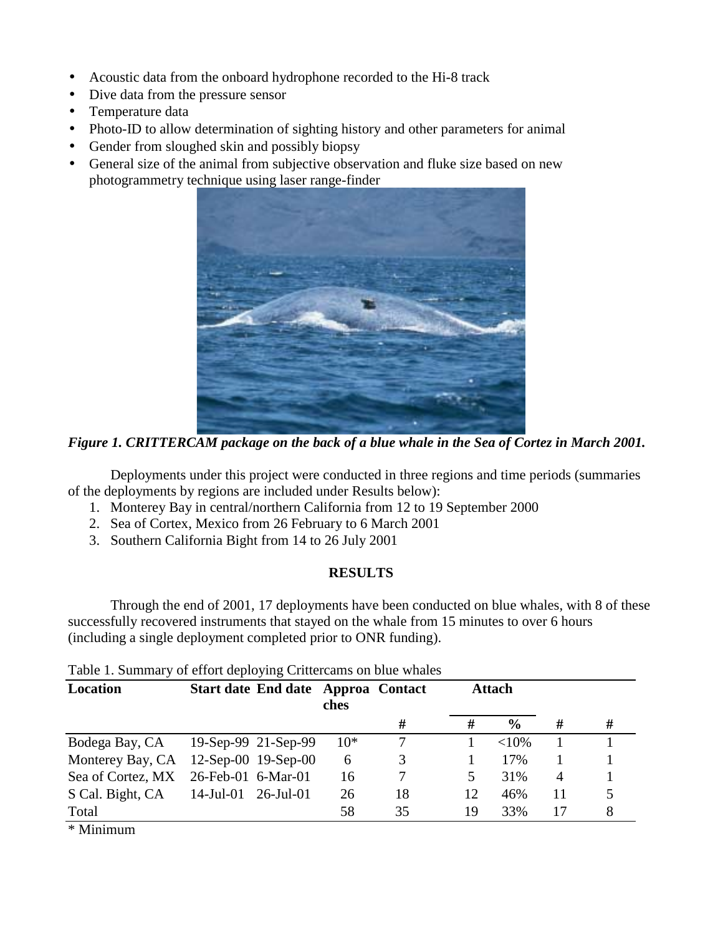- Acoustic data from the onboard hydrophone recorded to the Hi-8 track
- Dive data from the pressure sensor
- Temperature data
- Photo-ID to allow determination of sighting history and other parameters for animal
- Gender from sloughed skin and possibly biopsy
- General size of the animal from subjective observation and fluke size based on new photogrammetry technique using laser range-finder



*Figure 1. CRITTERCAM package on the back of a blue whale in the Sea of Cortez in March 2001.* 

Deployments under this project were conducted in three regions and time periods (summaries of the deployments by regions are included under Results below):

- 1. Monterey Bay in central/northern California from 12 to 19 September 2000
- 2. Sea of Cortex, Mexico from 26 February to 6 March 2001
- 3. Southern California Bight from 14 to 26 July 2001

# **RESULTS**

Through the end of 2001, 17 deployments have been conducted on blue whales, with 8 of these successfully recovered instruments that stayed on the whale from 15 minutes to over 6 hours (including a single deployment completed prior to ONR funding).

Table 1. Summary of effort deploying Crittercams on blue whales

| Location          | Start date End date Approa Contact | ches  |    |    | <b>Attach</b> |    |   |
|-------------------|------------------------------------|-------|----|----|---------------|----|---|
|                   |                                    |       | #  | #  | $\frac{0}{0}$ | #  | # |
|                   | Bodega Bay, CA 19-Sep-99 21-Sep-99 | $10*$ |    |    | ${<}10\%$     |    |   |
| Monterey Bay, CA  | 12-Sep-00 19-Sep-00                | 6     | 3  |    | 17%           |    |   |
| Sea of Cortez, MX | 26-Feb-01 6-Mar-01                 | 16    |    |    | 31%           | 4  |   |
| S Cal. Bight, CA  | $14$ -Jul-01 26-Jul-01             | 26    | 18 | 12 | 46%           | 11 |   |
| Total             |                                    | 58    | 35 | 19 | 33%           | 17 |   |

\* Minimum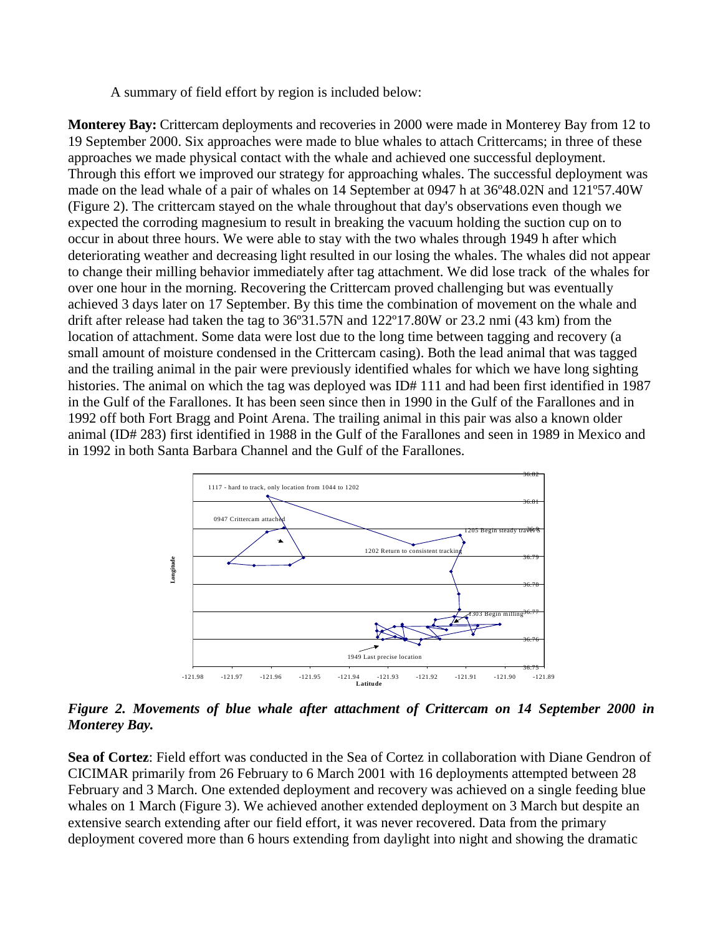A summary of field effort by region is included below:

**Monterey Bay:** Crittercam deployments and recoveries in 2000 were made in Monterey Bay from 12 to 19 September 2000. Six approaches were made to blue whales to attach Crittercams; in three of these approaches we made physical contact with the whale and achieved one successful deployment. Through this effort we improved our strategy for approaching whales. The successful deployment was made on the lead whale of a pair of whales on 14 September at 0947 h at 36º48.02N and 121º57.40W (Figure 2). The crittercam stayed on the whale throughout that day's observations even though we expected the corroding magnesium to result in breaking the vacuum holding the suction cup on to occur in about three hours. We were able to stay with the two whales through 1949 h after which deteriorating weather and decreasing light resulted in our losing the whales. The whales did not appear to change their milling behavior immediately after tag attachment. We did lose track of the whales for over one hour in the morning. Recovering the Crittercam proved challenging but was eventually achieved 3 days later on 17 September. By this time the combination of movement on the whale and drift after release had taken the tag to 36º31.57N and 122º17.80W or 23.2 nmi (43 km) from the location of attachment. Some data were lost due to the long time between tagging and recovery (a small amount of moisture condensed in the Crittercam casing). Both the lead animal that was tagged and the trailing animal in the pair were previously identified whales for which we have long sighting histories. The animal on which the tag was deployed was ID# 111 and had been first identified in 1987 in the Gulf of the Farallones. It has been seen since then in 1990 in the Gulf of the Farallones and in 1992 off both Fort Bragg and Point Arena. The trailing animal in this pair was also a known older animal (ID# 283) first identified in 1988 in the Gulf of the Farallones and seen in 1989 in Mexico and in 1992 in both Santa Barbara Channel and the Gulf of the Farallones.



*Figure 2. Movements of blue whale after attachment of Crittercam on 14 September 2000 in Monterey Bay.* 

**Sea of Cortez**: Field effort was conducted in the Sea of Cortez in collaboration with Diane Gendron of CICIMAR primarily from 26 February to 6 March 2001 with 16 deployments attempted between 28 February and 3 March. One extended deployment and recovery was achieved on a single feeding blue whales on 1 March (Figure 3). We achieved another extended deployment on 3 March but despite an extensive search extending after our field effort, it was never recovered. Data from the primary deployment covered more than 6 hours extending from daylight into night and showing the dramatic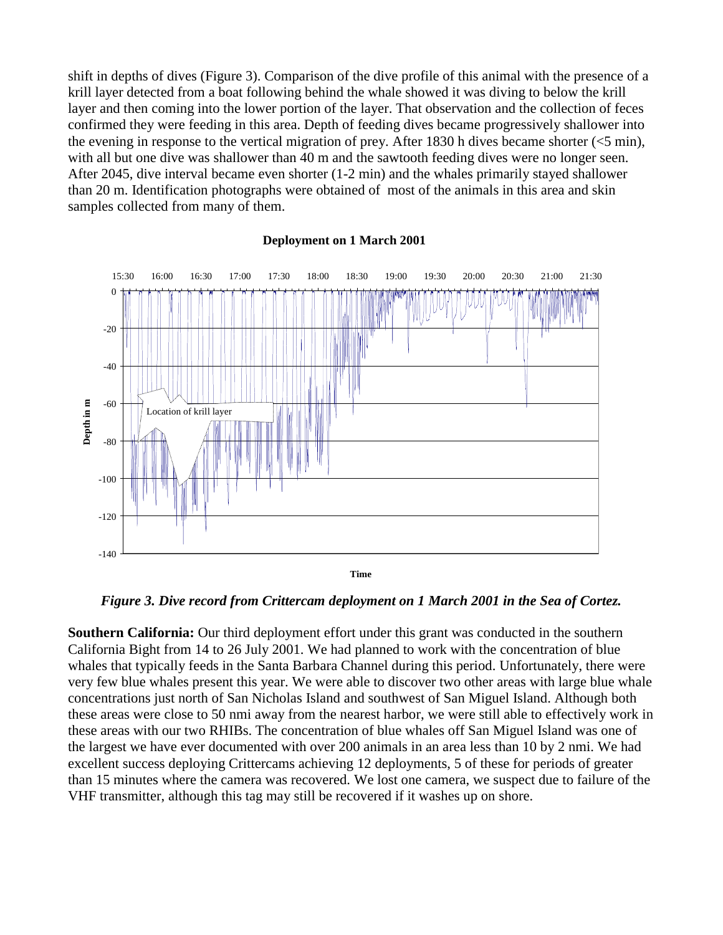shift in depths of dives (Figure 3). Comparison of the dive profile of this animal with the presence of a krill layer detected from a boat following behind the whale showed it was diving to below the krill layer and then coming into the lower portion of the layer. That observation and the collection of feces confirmed they were feeding in this area. Depth of feeding dives became progressively shallower into the evening in response to the vertical migration of prey. After 1830 h dives became shorter (<5 min), with all but one dive was shallower than 40 m and the sawtooth feeding dives were no longer seen. After 2045, dive interval became even shorter (1-2 min) and the whales primarily stayed shallower than 20 m. Identification photographs were obtained of most of the animals in this area and skin samples collected from many of them.



## **Deployment on 1 March 2001**

*Figure 3. Dive record from Crittercam deployment on 1 March 2001 in the Sea of Cortez.* 

**Southern California:** Our third deployment effort under this grant was conducted in the southern California Bight from 14 to 26 July 2001. We had planned to work with the concentration of blue whales that typically feeds in the Santa Barbara Channel during this period. Unfortunately, there were very few blue whales present this year. We were able to discover two other areas with large blue whale concentrations just north of San Nicholas Island and southwest of San Miguel Island. Although both these areas were close to 50 nmi away from the nearest harbor, we were still able to effectively work in these areas with our two RHIBs. The concentration of blue whales off San Miguel Island was one of the largest we have ever documented with over 200 animals in an area less than 10 by 2 nmi. We had excellent success deploying Crittercams achieving 12 deployments, 5 of these for periods of greater than 15 minutes where the camera was recovered. We lost one camera, we suspect due to failure of the VHF transmitter, although this tag may still be recovered if it washes up on shore.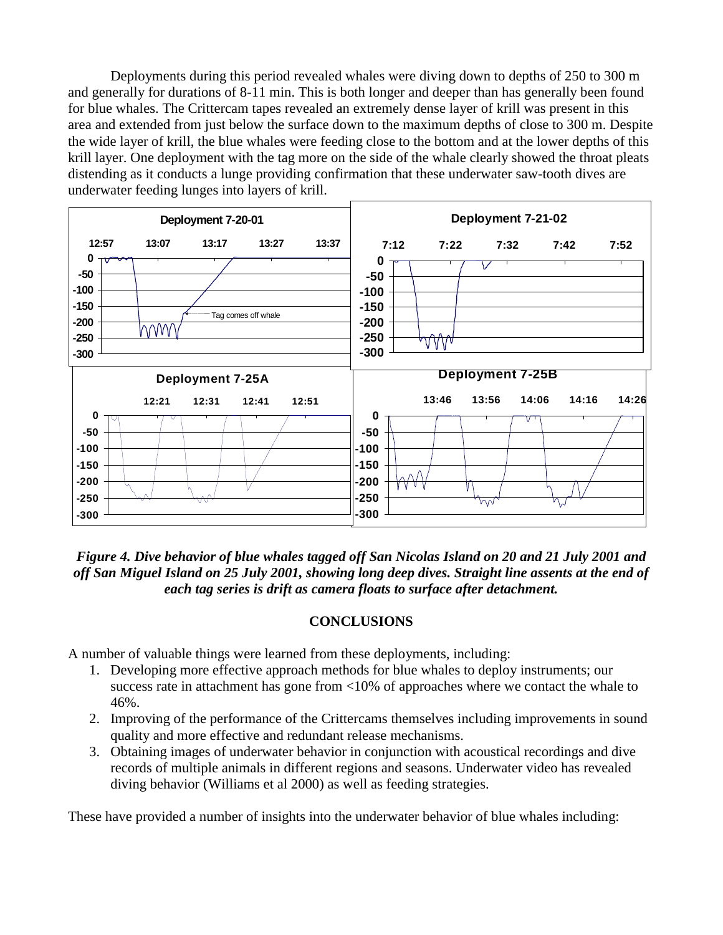Deployments during this period revealed whales were diving down to depths of 250 to 300 m and generally for durations of 8-11 min. This is both longer and deeper than has generally been found for blue whales. The Crittercam tapes revealed an extremely dense layer of krill was present in this area and extended from just below the surface down to the maximum depths of close to 300 m. Despite the wide layer of krill, the blue whales were feeding close to the bottom and at the lower depths of this krill layer. One deployment with the tag more on the side of the whale clearly showed the throat pleats distending as it conducts a lunge providing confirmation that these underwater saw-tooth dives are underwater feeding lunges into layers of krill.



*Figure 4. Dive behavior of blue whales tagged off San Nicolas Island on 20 and 21 July 2001 and off San Miguel Island on 25 July 2001, showing long deep dives. Straight line assents at the end of each tag series is drift as camera floats to surface after detachment.* 

# **CONCLUSIONS**

A number of valuable things were learned from these deployments, including:

- 1. Developing more effective approach methods for blue whales to deploy instruments; our success rate in attachment has gone from <10% of approaches where we contact the whale to 46%.
- 2. Improving of the performance of the Crittercams themselves including improvements in sound quality and more effective and redundant release mechanisms.
- 3. Obtaining images of underwater behavior in conjunction with acoustical recordings and dive records of multiple animals in different regions and seasons. Underwater video has revealed diving behavior (Williams et al 2000) as well as feeding strategies.

These have provided a number of insights into the underwater behavior of blue whales including: